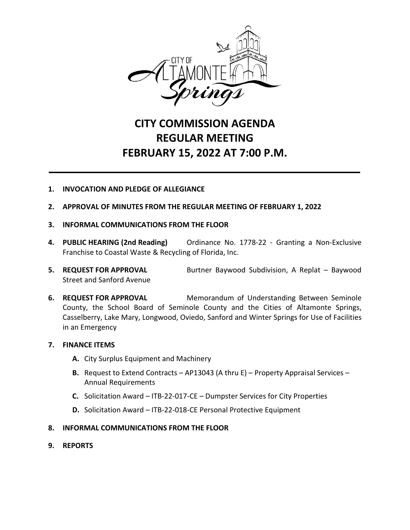

## **CITY COMMISSION AGENDA REGULAR MEETING FEBRUARY 15, 2022 AT 7:00 P.M.**

## **1. INVOCATION AND PLEDGE OF ALLEGIANCE**

- **2. APPROVAL OF MINUTES FROM THE REGULAR MEETING OF FEBRUARY 1, 2022**
- **3. INFORMAL COMMUNICATIONS FROM THE FLOOR**
- **4. PUBLIC HEARING (2nd Reading)** Ordinance No. 1778-22 Granting a Non-Exclusive Franchise to Coastal Waste & Recycling of Florida, Inc.
- **5. REQUEST FOR APPROVAL** Burtner Baywood Subdivision, A Replat Baywood Street and Sanford Avenue
- **6. REQUEST FOR APPROVAL** Memorandum of Understanding Between Seminole County, the School Board of Seminole County and the Cities of Altamonte Springs, Casselberry, Lake Mary, Longwood, Oviedo, Sanford and Winter Springs for Use of Facilities in an Emergency

## **7. FINANCE ITEMS**

- **A.** City Surplus Equipment and Machinery
- **B.** Request to Extend Contracts AP13043 (A thru E) Property Appraisal Services Annual Requirements
- **C.** Solicitation Award ITB-22-017-CE Dumpster Services for City Properties
- **D.** Solicitation Award ITB-22-018-CE Personal Protective Equipment

## **8. INFORMAL COMMUNICATIONS FROM THE FLOOR**

**9. REPORTS**